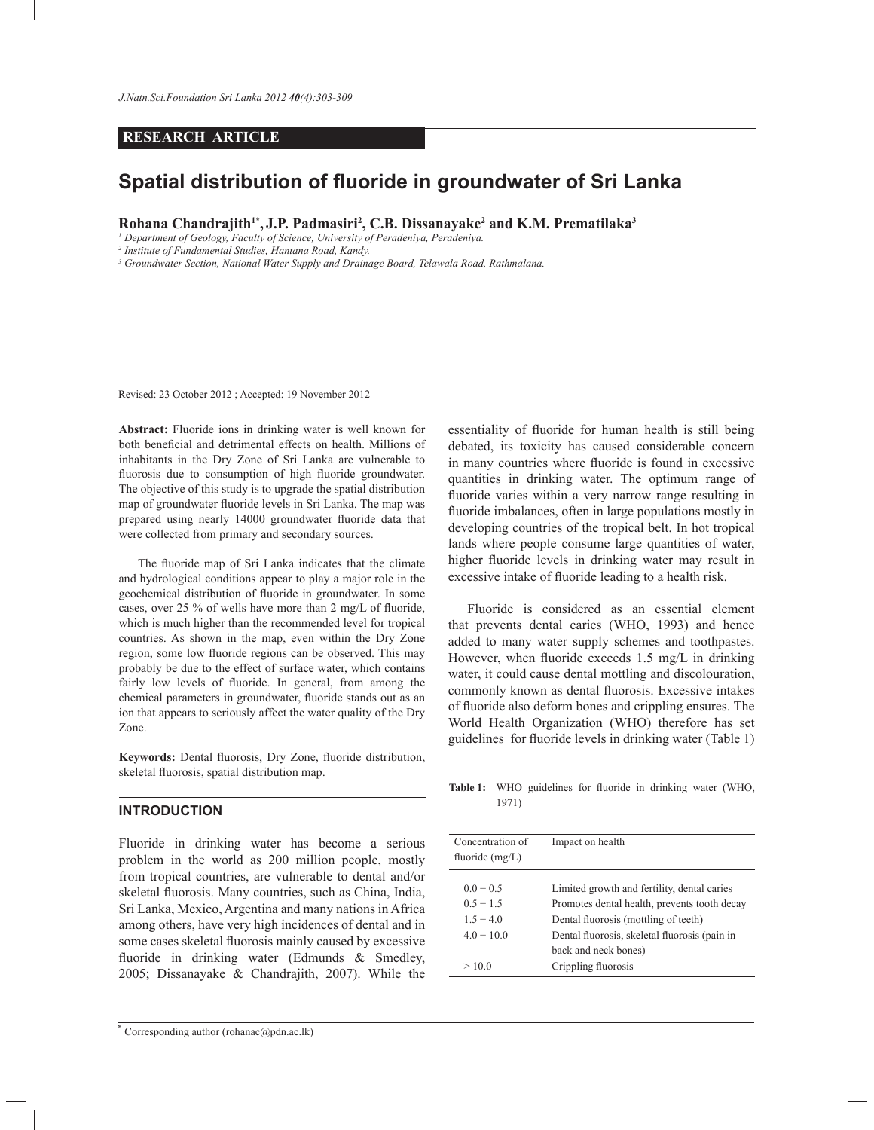## **RESEARCH ARTICLE**

# **Spatial distribution of fluoride in groundwater of Sri Lanka**

**Rohana Chandrajith1\* , J.P. Padmasiri<sup>2</sup> , C.B. Dissanayake<sup>2</sup> and K.M. Prematilaka<sup>3</sup>**

*1 Department of Geology, Faculty of Science, University of Peradeniya, Peradeniya.*

*2 Institute of Fundamental Studies, Hantana Road, Kandy.*

*3 Groundwater Section, National Water Supply and Drainage Board, Telawala Road, Rathmalana.*

Revised: 23 October 2012 ; Accepted: 19 November 2012

**Abstract:** Fluoride ions in drinking water is well known for both beneficial and detrimental effects on health. Millions of inhabitants in the Dry Zone of Sri Lanka are vulnerable to fluorosis due to consumption of high fluoride groundwater. The objective of this study is to upgrade the spatial distribution map of groundwater fluoride levels in Sri Lanka. The map was prepared using nearly 14000 groundwater fluoride data that were collected from primary and secondary sources.

 The fluoride map of Sri Lanka indicates that the climate and hydrological conditions appear to play a major role in the geochemical distribution of fluoride in groundwater. In some cases, over 25 % of wells have more than 2 mg/L of fluoride, which is much higher than the recommended level for tropical countries. As shown in the map, even within the Dry Zone region, some low fluoride regions can be observed. This may probably be due to the effect of surface water, which contains fairly low levels of fluoride. In general, from among the chemical parameters in groundwater, fluoride stands out as an ion that appears to seriously affect the water quality of the Dry Zone.

**Keywords:** Dental fluorosis, Dry Zone, fluoride distribution, skeletal fluorosis, spatial distribution map.

#### **INTRODUCTION**

Fluoride in drinking water has become a serious problem in the world as 200 million people, mostly from tropical countries, are vulnerable to dental and/or skeletal fluorosis. Many countries, such as China, India, Sri Lanka, Mexico, Argentina and many nations in Africa among others, have very high incidences of dental and in some cases skeletal fluorosis mainly caused by excessive fluoride in drinking water (Edmunds & Smedley, 2005; Dissanayake & Chandrajith, 2007). While the essentiality of fluoride for human health is still being debated, its toxicity has caused considerable concern in many countries where fluoride is found in excessive quantities in drinking water. The optimum range of fluoride varies within a very narrow range resulting in fluoride imbalances, often in large populations mostly in developing countries of the tropical belt. In hot tropical lands where people consume large quantities of water, higher fluoride levels in drinking water may result in excessive intake of fluoride leading to a health risk.

 Fluoride is considered as an essential element that prevents dental caries (WHO, 1993) and hence added to many water supply schemes and toothpastes. However, when fluoride exceeds 1.5 mg/L in drinking water, it could cause dental mottling and discolouration, commonly known as dental fluorosis. Excessive intakes of fluoride also deform bones and crippling ensures. The World Health Organization (WHO) therefore has set guidelines for fluoride levels in drinking water (Table 1)

**Table 1:** WHO guidelines for fluoride in drinking water (WHO, 1971)

| Concentration of<br>fluoride $(mg/L)$   | Impact on health                                                                                                                    |
|-----------------------------------------|-------------------------------------------------------------------------------------------------------------------------------------|
| $0.0 - 0.5$<br>$0.5 - 1.5$<br>$15 - 40$ | Limited growth and fertility, dental caries<br>Promotes dental health, prevents tooth decay<br>Dental fluorosis (mottling of teeth) |
| $4.0 - 10.0$<br>>10.0                   | Dental fluorosis, skeletal fluorosis (pain in<br>back and neck bones)<br>Crippling fluorosis                                        |

<sup>\*</sup> Corresponding author (rohanac@pdn.ac.lk)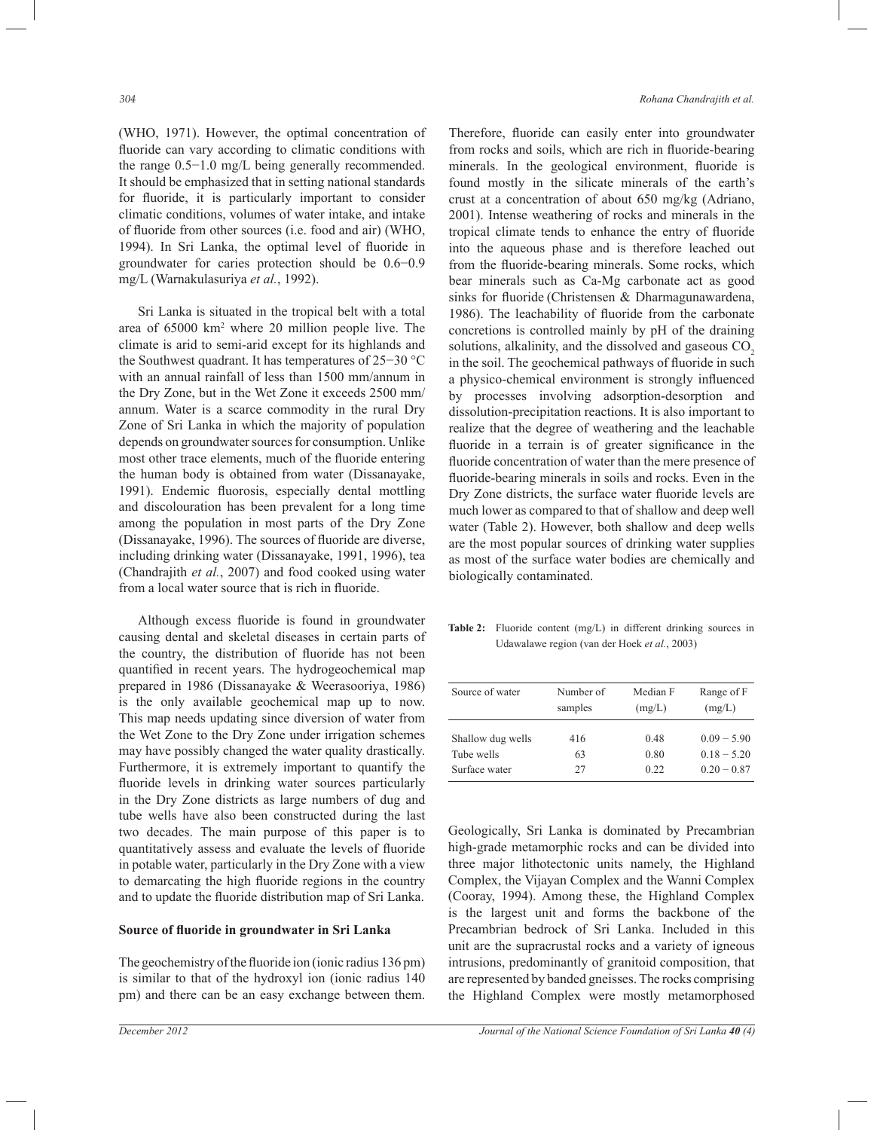(WHO, 1971). However, the optimal concentration of fluoride can vary according to climatic conditions with the range 0.5−1.0 mg/L being generally recommended. It should be emphasized that in setting national standards for fluoride, it is particularly important to consider climatic conditions, volumes of water intake, and intake of fluoride from other sources (i.e. food and air) (WHO, 1994). In Sri Lanka, the optimal level of fluoride in groundwater for caries protection should be 0.6−0.9 mg/L (Warnakulasuriya *et al.*, 1992).

 Sri Lanka is situated in the tropical belt with a total area of 65000 km<sup>2</sup> where 20 million people live. The climate is arid to semi-arid except for its highlands and the Southwest quadrant. It has temperatures of 25−30 °C with an annual rainfall of less than 1500 mm/annum in the Dry Zone, but in the Wet Zone it exceeds 2500 mm/ annum. Water is a scarce commodity in the rural Dry Zone of Sri Lanka in which the majority of population depends on groundwater sources for consumption. Unlike most other trace elements, much of the fluoride entering the human body is obtained from water (Dissanayake, 1991). Endemic fluorosis, especially dental mottling and discolouration has been prevalent for a long time among the population in most parts of the Dry Zone (Dissanayake, 1996). The sources of fluoride are diverse, including drinking water (Dissanayake, 1991, 1996), tea (Chandrajith *et al.*, 2007) and food cooked using water from a local water source that is rich in fluoride.

 Although excess fluoride is found in groundwater causing dental and skeletal diseases in certain parts of the country, the distribution of fluoride has not been quantified in recent years. The hydrogeochemical map prepared in 1986 (Dissanayake & Weerasooriya, 1986) is the only available geochemical map up to now. This map needs updating since diversion of water from the Wet Zone to the Dry Zone under irrigation schemes may have possibly changed the water quality drastically. Furthermore, it is extremely important to quantify the fluoride levels in drinking water sources particularly in the Dry Zone districts as large numbers of dug and tube wells have also been constructed during the last two decades. The main purpose of this paper is to quantitatively assess and evaluate the levels of fluoride in potable water, particularly in the Dry Zone with a view to demarcating the high fluoride regions in the country and to update the fluoride distribution map of Sri Lanka.

#### **Source of fluoride in groundwater in Sri Lanka**

The geochemistry of the fluoride ion (ionic radius 136 pm) is similar to that of the hydroxyl ion (ionic radius 140 pm) and there can be an easy exchange between them.

Therefore, fluoride can easily enter into groundwater from rocks and soils, which are rich in fluoride-bearing minerals. In the geological environment, fluoride is found mostly in the silicate minerals of the earth's crust at a concentration of about 650 mg/kg (Adriano, 2001). Intense weathering of rocks and minerals in the tropical climate tends to enhance the entry of fluoride into the aqueous phase and is therefore leached out from the fluoride-bearing minerals. Some rocks, which bear minerals such as Ca-Mg carbonate act as good sinks for fluoride (Christensen & Dharmagunawardena, 1986). The leachability of fluoride from the carbonate concretions is controlled mainly by pH of the draining solutions, alkalinity, and the dissolved and gaseous CO<sub>2</sub> in the soil. The geochemical pathways of fluoride in such a physico-chemical environment is strongly influenced by processes involving adsorption-desorption and dissolution-precipitation reactions. It is also important to realize that the degree of weathering and the leachable fluoride in a terrain is of greater significance in the fluoride concentration of water than the mere presence of fluoride-bearing minerals in soils and rocks. Even in the Dry Zone districts, the surface water fluoride levels are much lower as compared to that of shallow and deep well water (Table 2). However, both shallow and deep wells are the most popular sources of drinking water supplies as most of the surface water bodies are chemically and biologically contaminated.

Table 2: Fluoride content (mg/L) in different drinking sources in Udawalawe region (van der Hoek *et al.*, 2003)

| Source of water   | Number of<br>samples | Median F<br>(mg/L) | Range of F<br>(mg/L) |
|-------------------|----------------------|--------------------|----------------------|
| Shallow dug wells | 416                  | 0.48               | $0.09 - 5.90$        |
| Tube wells        | 63                   | 0.80               | $0.18 - 5.20$        |
| Surface water     | 27                   | 0.22               | $0.20 - 0.87$        |

Geologically, Sri Lanka is dominated by Precambrian high-grade metamorphic rocks and can be divided into three major lithotectonic units namely, the Highland Complex, the Vijayan Complex and the Wanni Complex (Cooray, 1994). Among these, the Highland Complex is the largest unit and forms the backbone of the Precambrian bedrock of Sri Lanka. Included in this unit are the supracrustal rocks and a variety of igneous intrusions, predominantly of granitoid composition, that are represented by banded gneisses. The rocks comprising the Highland Complex were mostly metamorphosed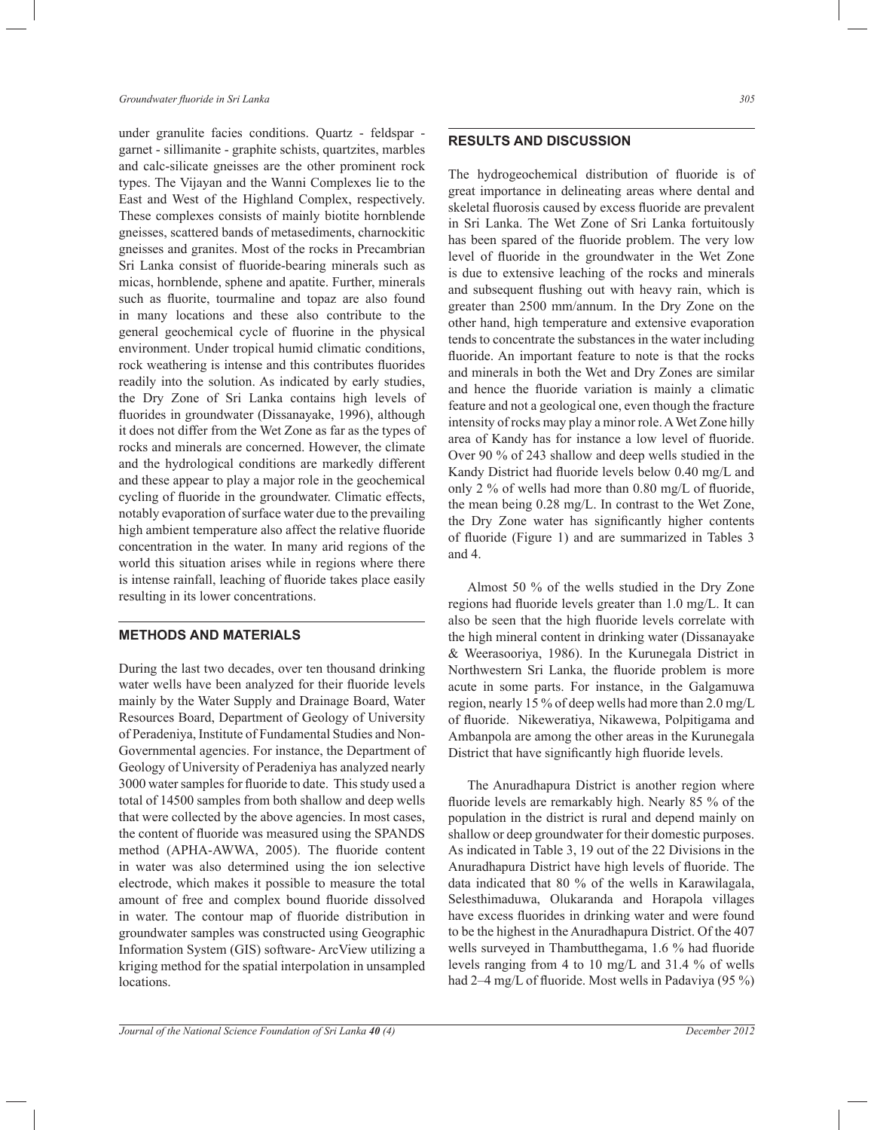under granulite facies conditions. Quartz - feldspar garnet - sillimanite - graphite schists, quartzites, marbles and calc-silicate gneisses are the other prominent rock types. The Vijayan and the Wanni Complexes lie to the East and West of the Highland Complex, respectively. These complexes consists of mainly biotite hornblende gneisses, scattered bands of metasediments, charnockitic gneisses and granites. Most of the rocks in Precambrian Sri Lanka consist of fluoride-bearing minerals such as micas, hornblende, sphene and apatite. Further, minerals such as fluorite, tourmaline and topaz are also found in many locations and these also contribute to the general geochemical cycle of fluorine in the physical environment. Under tropical humid climatic conditions, rock weathering is intense and this contributes fluorides readily into the solution. As indicated by early studies, the Dry Zone of Sri Lanka contains high levels of fluorides in groundwater (Dissanayake, 1996), although it does not differ from the Wet Zone as far as the types of rocks and minerals are concerned. However, the climate and the hydrological conditions are markedly different and these appear to play a major role in the geochemical cycling of fluoride in the groundwater. Climatic effects, notably evaporation of surface water due to the prevailing high ambient temperature also affect the relative fluoride concentration in the water. In many arid regions of the world this situation arises while in regions where there is intense rainfall, leaching of fluoride takes place easily resulting in its lower concentrations.

#### **METHODS AND MATERIALS**

During the last two decades, over ten thousand drinking water wells have been analyzed for their fluoride levels mainly by the Water Supply and Drainage Board, Water Resources Board, Department of Geology of University of Peradeniya, Institute of Fundamental Studies and Non-Governmental agencies. For instance, the Department of Geology of University of Peradeniya has analyzed nearly 3000 water samples for fluoride to date. This study used a total of 14500 samples from both shallow and deep wells that were collected by the above agencies. In most cases, the content of fluoride was measured using the SPANDS method (APHA-AWWA, 2005). The fluoride content in water was also determined using the ion selective electrode, which makes it possible to measure the total amount of free and complex bound fluoride dissolved in water. The contour map of fluoride distribution in groundwater samples was constructed using Geographic Information System (GIS) software- ArcView utilizing a kriging method for the spatial interpolation in unsampled locations.

### **RESULTS AND DISCUSSION**

The hydrogeochemical distribution of fluoride is of great importance in delineating areas where dental and skeletal fluorosis caused by excess fluoride are prevalent in Sri Lanka. The Wet Zone of Sri Lanka fortuitously has been spared of the fluoride problem. The very low level of fluoride in the groundwater in the Wet Zone is due to extensive leaching of the rocks and minerals and subsequent flushing out with heavy rain, which is greater than 2500 mm/annum. In the Dry Zone on the other hand, high temperature and extensive evaporation tends to concentrate the substances in the water including fluoride. An important feature to note is that the rocks and minerals in both the Wet and Dry Zones are similar and hence the fluoride variation is mainly a climatic feature and not a geological one, even though the fracture intensity of rocks may play a minor role. A Wet Zone hilly area of Kandy has for instance a low level of fluoride. Over 90 % of 243 shallow and deep wells studied in the Kandy District had fluoride levels below 0.40 mg/L and only 2 % of wells had more than 0.80 mg/L of fluoride, the mean being 0.28 mg/L. In contrast to the Wet Zone, the Dry Zone water has significantly higher contents of fluoride (Figure 1) and are summarized in Tables 3 and 4.

 Almost 50 % of the wells studied in the Dry Zone regions had fluoride levels greater than 1.0 mg/L. It can also be seen that the high fluoride levels correlate with the high mineral content in drinking water (Dissanayake & Weerasooriya, 1986). In the Kurunegala District in Northwestern Sri Lanka, the fluoride problem is more acute in some parts. For instance, in the Galgamuwa region, nearly 15 % of deep wells had more than 2.0 mg/L of fluoride. Nikeweratiya, Nikawewa, Polpitigama and Ambanpola are among the other areas in the Kurunegala District that have significantly high fluoride levels.

 The Anuradhapura District is another region where fluoride levels are remarkably high. Nearly 85 % of the population in the district is rural and depend mainly on shallow or deep groundwater for their domestic purposes. As indicated in Table 3, 19 out of the 22 Divisions in the Anuradhapura District have high levels of fluoride. The data indicated that 80 % of the wells in Karawilagala, Selesthimaduwa, Olukaranda and Horapola villages have excess fluorides in drinking water and were found to be the highest in the Anuradhapura District. Of the 407 wells surveyed in Thambutthegama, 1.6 % had fluoride levels ranging from 4 to 10 mg/L and 31.4 % of wells had 2–4 mg/L of fluoride. Most wells in Padaviya (95 %)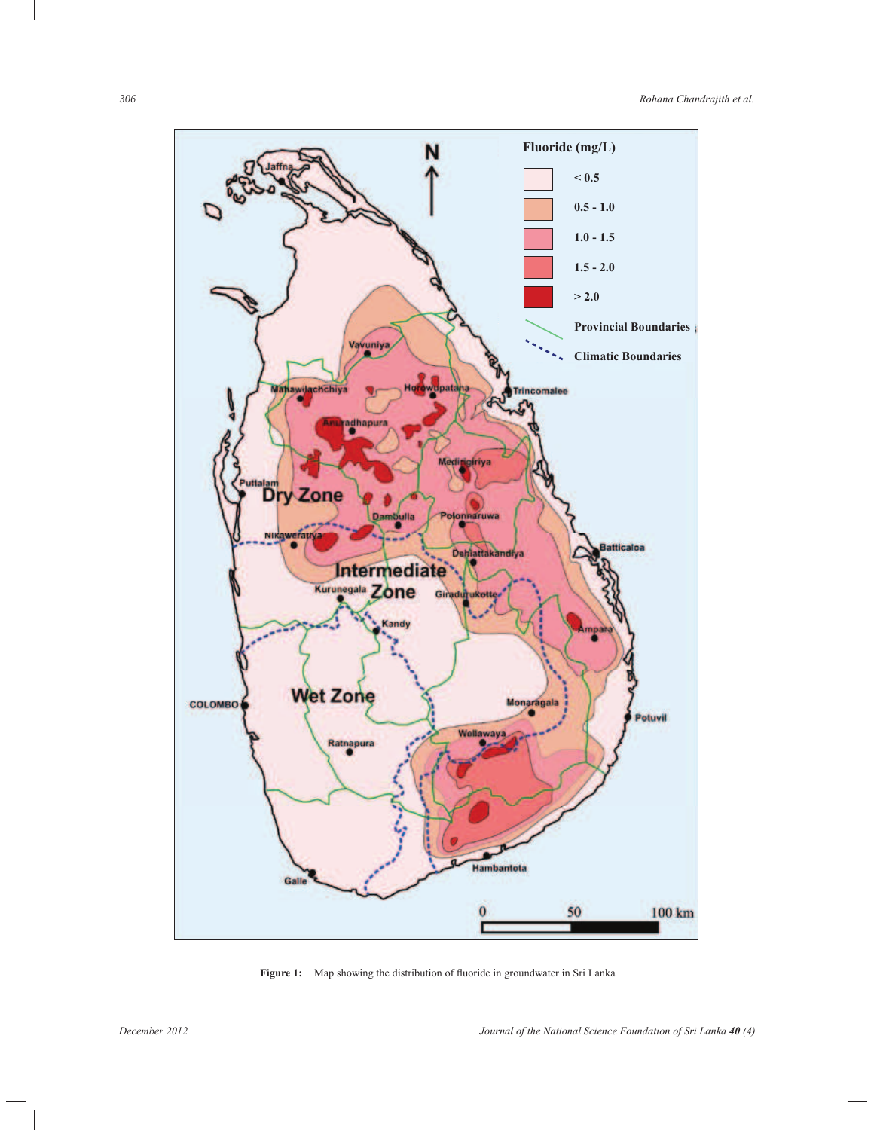

**Figure 1:** Map showing the distribution of fluoride in groundwater in Sri Lanka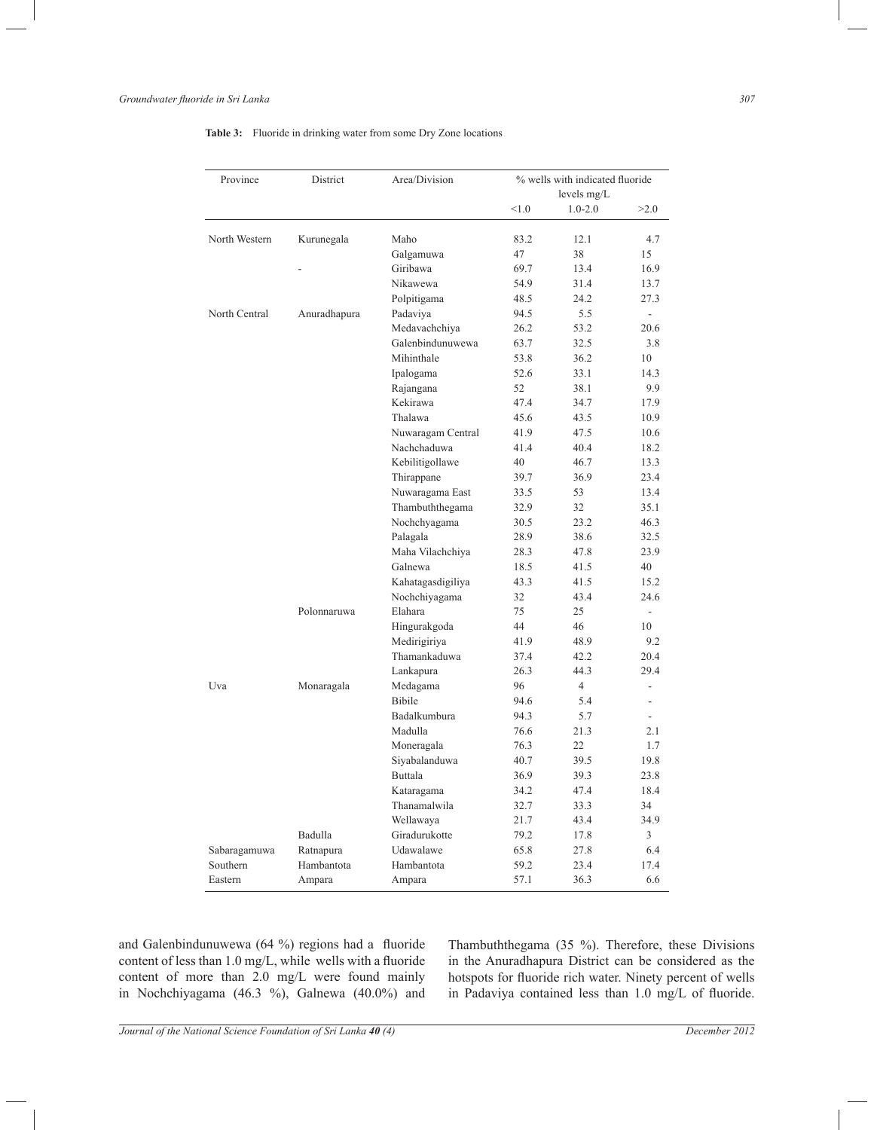| Province      | District     | Area/Division     | % wells with indicated fluoride<br>levels mg/L |                |                |
|---------------|--------------|-------------------|------------------------------------------------|----------------|----------------|
|               |              |                   | < 1.0                                          | $1.0 - 2.0$    | >2.0           |
| North Western | Kurunegala   | Maho              | 83.2                                           | 12.1           | 4.7            |
|               |              | Galgamuwa         | 47                                             | 38             | 15             |
|               |              | Giribawa          | 69.7                                           | 13.4           | 16.9           |
|               |              | Nikawewa          | 54.9                                           | 31.4           | 13.7           |
|               |              | Polpitigama       | 48.5                                           | 24.2           | 27.3           |
| North Central | Anuradhapura | Padaviya          | 94.5                                           | 5.5            |                |
|               |              | Medavachchiya     | 26.2                                           | 53.2           | 20.6           |
|               |              | Galenbindunuwewa  | 63.7                                           | 32.5           | 3.8            |
|               |              | Mihinthale        | 53.8                                           | 36.2           | 10             |
|               |              | Ipalogama         | 52.6                                           | 33.1           | 14.3           |
|               |              | Rajangana         | 52                                             | 38.1           | 9.9            |
|               |              | Kekirawa          | 47.4                                           | 34.7           | 17.9           |
|               |              | Thalawa           | 45.6                                           | 43.5           | 10.9           |
|               |              | Nuwaragam Central | 41.9                                           | 47.5           | 10.6           |
|               |              | Nachchaduwa       | 41.4                                           | 40.4           | 18.2           |
|               |              | Kebilitigollawe   | 40                                             | 46.7           | 13.3           |
|               |              | Thirappane        | 39.7                                           | 36.9           | 23.4           |
|               |              | Nuwaragama East   | 33.5                                           | 53             | 13.4           |
|               |              | Thambuththegama   | 32.9                                           | 32             | 35.1           |
|               |              | Nochchyagama      | 30.5                                           | 23.2           | 46.3           |
|               |              | Palagala          | 28.9                                           | 38.6           | 32.5           |
|               |              | Maha Vilachchiya  | 28.3                                           | 47.8           | 23.9           |
|               |              | Galnewa           | 18.5                                           | 41.5           | 40             |
|               |              | Kahatagasdigiliya | 43.3                                           | 41.5           | 15.2           |
|               |              | Nochchiyagama     | 32                                             | 43.4           | 24.6           |
|               | Polonnaruwa  | Elahara           | 75                                             | 25             | $\overline{a}$ |
|               |              | Hingurakgoda      | 44                                             | 46             | 10             |
|               |              | Medirigiriya      | 41.9                                           | 48.9           | 9.2            |
|               |              | Thamankaduwa      | 37.4                                           | 42.2           | 20.4           |
|               |              | Lankapura         | 26.3                                           | 44.3           | 29.4           |
| Uva           | Monaragala   | Medagama          | 96                                             | $\overline{4}$ | $\overline{a}$ |
|               |              | Bibile            | 94.6                                           | 5.4            | $\overline{a}$ |
|               |              | Badalkumbura      | 94.3                                           | 5.7            | $\overline{a}$ |
|               |              | Madulla           | 76.6                                           | 21.3           | 2.1            |
|               |              | Moneragala        | 76.3                                           | 22             | 1.7            |
|               |              | Siyabalanduwa     | 40.7                                           | 39.5           | 19.8           |
|               |              | Buttala           | 36.9                                           | 39.3           | 23.8           |
|               |              | Kataragama        | 34.2                                           | 47.4           | 18.4           |
|               |              | Thanamalwila      | 32.7                                           | 33.3           | 34             |
|               |              | Wellawaya         | 21.7                                           | 43.4           | 34.9           |
|               | Badulla      | Giradurukotte     | 79.2                                           | 17.8           | 3              |
| Sabaragamuwa  | Ratnapura    | Udawalawe         | 65.8                                           | 27.8           | 6.4            |
| Southern      | Hambantota   | Hambantota        | 59.2                                           | 23.4           | 17.4           |
| Eastern       | Ampara       | Ampara            | 57.1                                           | 36.3           | 6.6            |

**Table 3:** Fluoride in drinking water from some Dry Zone locations

and Galenbindunuwewa (64 %) regions had a fluoride content of less than 1.0 mg/L, while wells with a fluoride content of more than 2.0 mg/L were found mainly in Nochchiyagama (46.3 %), Galnewa (40.0%) and Thambuththegama (35 %). Therefore, these Divisions in the Anuradhapura District can be considered as the hotspots for fluoride rich water. Ninety percent of wells in Padaviya contained less than 1.0 mg/L of fluoride.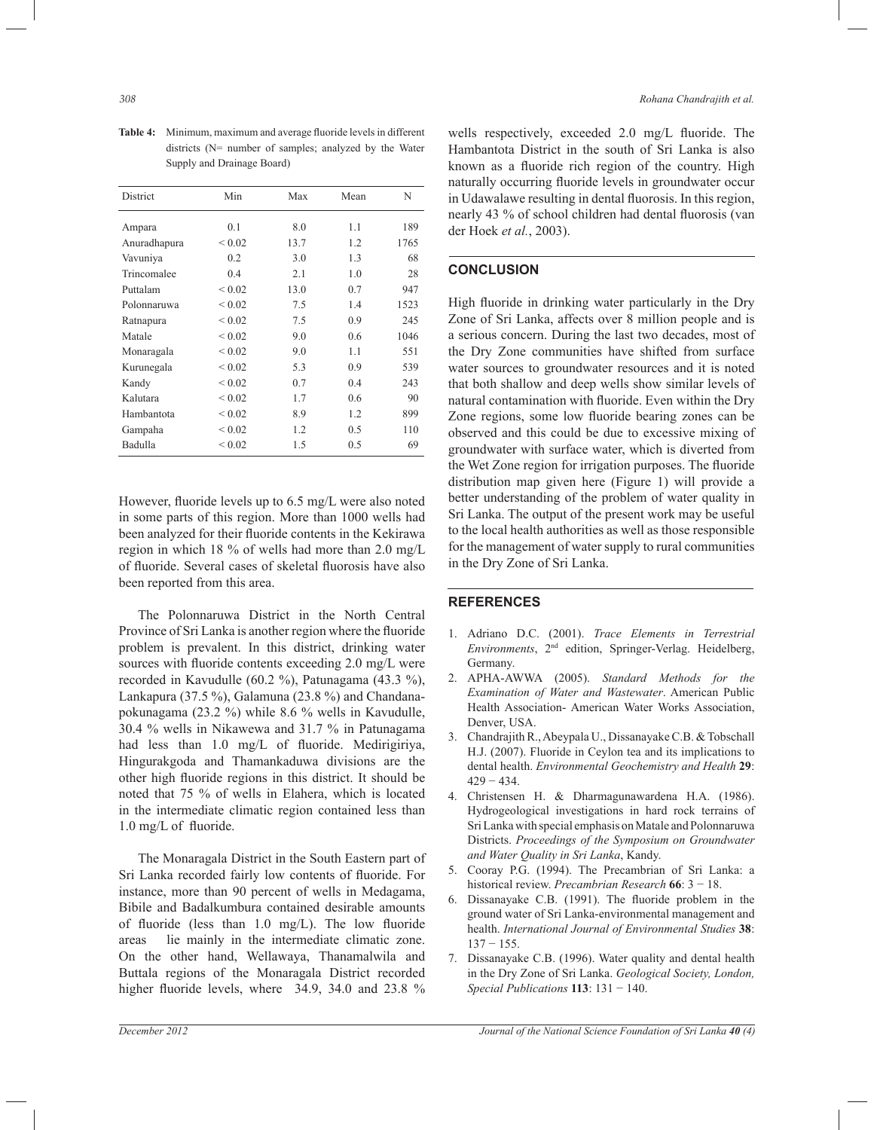**Table 4:** Minimum, maximum and average fluoride levels in different districts (N= number of samples; analyzed by the Water Supply and Drainage Board)

| <b>District</b> | Min         | Max  | Mean | N    |
|-----------------|-------------|------|------|------|
| Ampara          | 0.1         | 8.0  | 1.1  | 189  |
| Anuradhapura    | ${}_{0.02}$ | 13.7 | 1.2  | 1765 |
| Vavuniya        | 0.2         | 3.0  | 1.3  | 68   |
| Trincomalee     | 0.4         | 2.1  | 1.0  | 28   |
| Puttalam        | ${}_{0.02}$ | 13.0 | 0.7  | 947  |
| Polonnaruwa     | ${}_{0.02}$ | 7.5  | 1.4  | 1523 |
| Ratnapura       | ${}_{0.02}$ | 7.5  | 0.9  | 245  |
| Matale          | ${}_{0.02}$ | 9.0  | 0.6  | 1046 |
| Monaragala      | ${}_{0.02}$ | 9.0  | 1.1  | 551  |
| Kurunegala      | ${}_{0.02}$ | 5.3  | 0.9  | 539  |
| Kandy           | ${}_{0.02}$ | 0.7  | 0.4  | 243  |
| Kalutara        | ${}_{0.02}$ | 1.7  | 0.6  | 90   |
| Hambantota      | ${}_{0.02}$ | 8.9  | 1.2  | 899  |
| Gampaha         | ${}_{0.02}$ | 1.2  | 0.5  | 110  |
| Badulla         | ${}_{0.02}$ | 1.5  | 0.5  | 69   |

However, fluoride levels up to 6.5 mg/L were also noted in some parts of this region. More than 1000 wells had been analyzed for their fluoride contents in the Kekirawa region in which 18 % of wells had more than 2.0 mg/L of fluoride. Several cases of skeletal fluorosis have also been reported from this area.

 The Polonnaruwa District in the North Central Province of Sri Lanka is another region where the fluoride problem is prevalent. In this district, drinking water sources with fluoride contents exceeding 2.0 mg/L were recorded in Kavudulle (60.2 %), Patunagama (43.3 %), Lankapura (37.5 %), Galamuna (23.8 %) and Chandanapokunagama (23.2 %) while 8.6 % wells in Kavudulle, 30.4 % wells in Nikawewa and 31.7 % in Patunagama had less than 1.0 mg/L of fluoride. Medirigiriya, Hingurakgoda and Thamankaduwa divisions are the other high fluoride regions in this district. It should be noted that 75 % of wells in Elahera, which is located in the intermediate climatic region contained less than 1.0 mg/L of fluoride.

 The Monaragala District in the South Eastern part of Sri Lanka recorded fairly low contents of fluoride. For instance, more than 90 percent of wells in Medagama, Bibile and Badalkumbura contained desirable amounts of fluoride (less than 1.0 mg/L). The low fluoride areas lie mainly in the intermediate climatic zone. On the other hand, Wellawaya, Thanamalwila and Buttala regions of the Monaragala District recorded higher fluoride levels, where 34.9, 34.0 and 23.8 %

wells respectively, exceeded 2.0 mg/L fluoride. The Hambantota District in the south of Sri Lanka is also known as a fluoride rich region of the country. High naturally occurring fluoride levels in groundwater occur in Udawalawe resulting in dental fluorosis. In this region, nearly 43 % of school children had dental fluorosis (van der Hoek *et al.*, 2003).

## **CONCLUSION**

High fluoride in drinking water particularly in the Dry Zone of Sri Lanka, affects over 8 million people and is a serious concern. During the last two decades, most of the Dry Zone communities have shifted from surface water sources to groundwater resources and it is noted that both shallow and deep wells show similar levels of natural contamination with fluoride. Even within the Dry Zone regions, some low fluoride bearing zones can be observed and this could be due to excessive mixing of groundwater with surface water, which is diverted from the Wet Zone region for irrigation purposes. The fluoride distribution map given here (Figure 1) will provide a better understanding of the problem of water quality in Sri Lanka. The output of the present work may be useful to the local health authorities as well as those responsible for the management of water supply to rural communities in the Dry Zone of Sri Lanka.

#### **REFERENCES**

- 1. Adriano D.C. (2001). *Trace Elements in Terrestrial Environments*, 2nd edition, Springer-Verlag. Heidelberg, Germany.
- 2. APHA-AWWA (2005). *Standard Methods for the Examination of Water and Wastewater*. American Public Health Association- American Water Works Association, Denver, USA.
- 3. Chandrajith R., Abeypala U., Dissanayake C.B. & Tobschall H.J. (2007). Fluoride in Ceylon tea and its implications to dental health. *Environmental Geochemistry and Health* **29**:  $429 - 434$
- 4. Christensen H. & Dharmagunawardena H.A. (1986). Hydrogeological investigations in hard rock terrains of Sri Lanka with special emphasis on Matale and Polonnaruwa Districts. *Proceedings of the Symposium on Groundwater and Water Quality in Sri Lanka*, Kandy.
- 5. Cooray P.G. (1994). The Precambrian of Sri Lanka: a historical review. *Precambrian Research* **66**: 3 − 18.
- 6. Dissanayake C.B. (1991). The fluoride problem in the ground water of Sri Lanka-environmental management and health. *International Journal of Environmental Studies* **38**: 137 − 155.
- 7. Dissanayake C.B. (1996). Water quality and dental health in the Dry Zone of Sri Lanka. *Geological Society, London, Special Publications* **113**: 131 − 140.